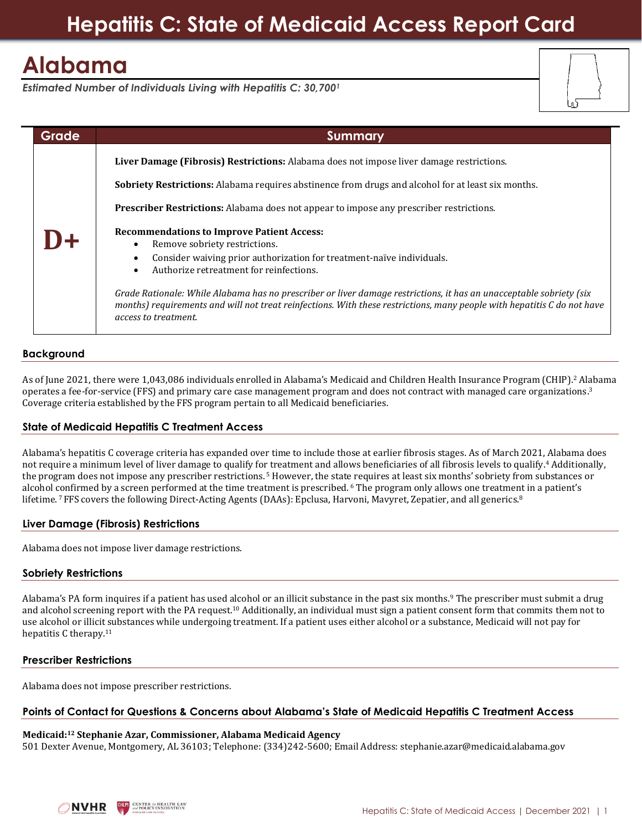# **Hepatitis C: State of Medicaid Access Report Card**

## **Alabama**

*Estimated Number of Individuals Living with Hepatitis C: 30,700<sup>1</sup>*

| <b>Grade</b> | <b>Summary</b>                                                                                                                                                                                                                                                         |
|--------------|------------------------------------------------------------------------------------------------------------------------------------------------------------------------------------------------------------------------------------------------------------------------|
|              | Liver Damage (Fibrosis) Restrictions: Alabama does not impose liver damage restrictions.                                                                                                                                                                               |
|              | <b>Sobriety Restrictions:</b> Alabama requires abstinence from drugs and alcohol for at least six months.                                                                                                                                                              |
|              | <b>Prescriber Restrictions:</b> Alabama does not appear to impose any prescriber restrictions.                                                                                                                                                                         |
|              | <b>Recommendations to Improve Patient Access:</b><br>Remove sobriety restrictions.<br>Consider waiving prior authorization for treatment-naïve individuals.<br>Authorize retreatment for reinfections.<br>$\bullet$                                                    |
|              | Grade Rationale: While Alabama has no prescriber or liver damage restrictions, it has an unacceptable sobriety (six<br>months) requirements and will not treat reinfections. With these restrictions, many people with hepatitis C do not have<br>access to treatment. |

## **Background**

As of June 2021, there were 1,043,086 individuals enrolled in Alabama's Medicaid and Children Health Insurance Program (CHIP).<sup>2</sup> Alabama operates a fee-for-service (FFS) and primary care case management program and does not contract with managed care organizations.<sup>3</sup> Coverage criteria established by the FFS program pertain to all Medicaid beneficiaries.

## **State of Medicaid Hepatitis C Treatment Access**

Alabama's hepatitis C coverage criteria has expanded over time to include those at earlier fibrosis stages. As of March 2021, Alabama does not require a minimum level of liver damage to qualify for treatment and allows beneficiaries of all fibrosis levels to qualify.<sup>4</sup> Additionally, the program does not impose any prescriber restrictions. <sup>5</sup> However, the state requires at least six months' sobriety from substances or alcohol confirmed by a screen performed at the time treatment is prescribed. <sup>6</sup> The program only allows one treatment in a patient's lifetime. 7 FFS covers the following Direct-Acting Agents (DAAs): Epclusa, Harvoni, Mavyret, Zepatier, and all generics.<sup>8</sup>

#### **Liver Damage (Fibrosis) Restrictions**

Alabama does not impose liver damage restrictions.

## **Sobriety Restrictions**

Alabama's PA form inquires if a patient has used alcohol or an illicit substance in the past six months.<sup>9</sup> The prescriber must submit a drug and alcohol screening report with the PA request.<sup>10</sup> Additionally, an individual must sign a patient consent form that commits them not to use alcohol or illicit substances while undergoing treatment. If a patient uses either alcohol or a substance, Medicaid will not pay for hepatitis C therapy.<sup>11</sup>

## **Prescriber Restrictions**

Alabama does not impose prescriber restrictions.

#### **Points of Contact for Questions & Concerns about Alabama's State of Medicaid Hepatitis C Treatment Access**

#### **Medicaid:<sup>12</sup> Stephanie Azar, Commissioner, Alabama Medicaid Agency** 501 Dexter Avenue, Montgomery, AL 36103; Telephone: (334)242-5600; Email Address: [stephanie.azar@medicaid.alabama.gov](mailto:stephanie.azar@medicaid.alabama.gov)